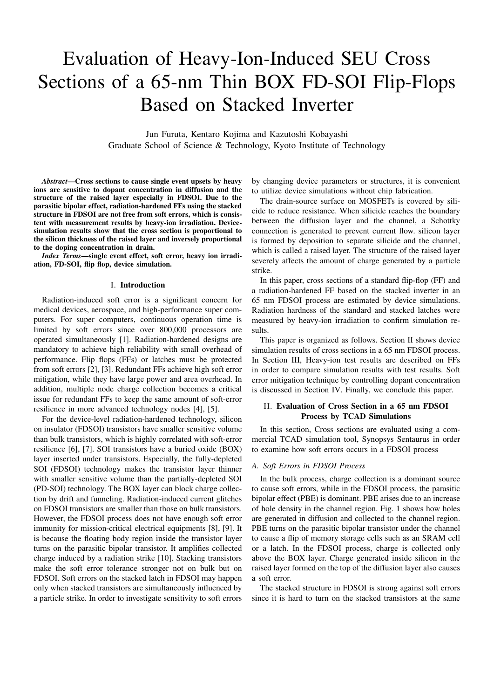# Evaluation of Heavy-Ion-Induced SEU Cross Sections of a 65-nm Thin BOX FD-SOI Flip-Flops Based on Stacked Inverter

Jun Furuta, Kentaro Kojima and Kazutoshi Kobayashi Graduate School of Science & Technology, Kyoto Institute of Technology

*Abstract*—Cross sections to cause single event upsets by heavy ions are sensitive to dopant concentration in diffusion and the structure of the raised layer especially in FDSOI. Due to the parasitic bipolar effect, radiation-hardened FFs using the stacked structure in FDSOI are not free from soft errors, which is consistent with measurement results by heavy-ion irradiation. Devicesimulation results show that the cross section is proportional to the silicon thickness of the raised layer and inversely proportional to the doping concentration in drain.

*Index Terms*—single event effect, soft error, heavy ion irradiation, FD-SOI, flip flop, device simulation.

## I. Introduction

Radiation-induced soft error is a significant concern for medical devices, aerospace, and high-performance super computers. For super computers, continuous operation time is limited by soft errors since over 800,000 processors are operated simultaneously [1]. Radiation-hardened designs are mandatory to achieve high reliability with small overhead of performance. Flip flops (FFs) or latches must be protected from soft errors [2], [3]. Redundant FFs achieve high soft error mitigation, while they have large power and area overhead. In addition, multiple node charge collection becomes a critical issue for redundant FFs to keep the same amount of soft-error resilience in more advanced technology nodes [4], [5].

For the device-level radiation-hardened technology, silicon on insulator (FDSOI) transistors have smaller sensitive volume than bulk transistors, which is highly correlated with soft-error resilience [6], [7]. SOI transistors have a buried oxide (BOX) layer inserted under transistors. Especially, the fully-depleted SOI (FDSOI) technology makes the transistor layer thinner with smaller sensitive volume than the partially-depleted SOI (PD-SOI) technology. The BOX layer can block charge collection by drift and funneling. Radiation-induced current glitches on FDSOI transistors are smaller than those on bulk transistors. However, the FDSOI process does not have enough soft error immunity for mission-critical electrical equipments [8], [9]. It is because the floating body region inside the transistor layer turns on the parasitic bipolar transistor. It amplifies collected charge induced by a radiation strike [10]. Stacking transistors make the soft error tolerance stronger not on bulk but on FDSOI. Soft errors on the stacked latch in FDSOI may happen only when stacked transistors are simultaneously influenced by a particle strike. In order to investigate sensitivity to soft errors

by changing device parameters or structures, it is convenient to utilize device simulations without chip fabrication.

The drain-source surface on MOSFETs is covered by silicide to reduce resistance. When silicide reaches the boundary between the diffusion layer and the channel, a Schottky connection is generated to prevent current flow. silicon layer is formed by deposition to separate silicide and the channel, which is called a raised layer. The structure of the raised layer severely affects the amount of charge generated by a particle strike.

In this paper, cross sections of a standard flip-flop (FF) and a radiation-hardened FF based on the stacked inverter in an 65 nm FDSOI process are estimated by device simulations. Radiation hardness of the standard and stacked latches were measured by heavy-ion irradiation to confirm simulation results.

This paper is organized as follows. Section II shows device simulation results of cross sections in a 65 nm FDSOI process. In Section III, Heavy-ion test results are described on FFs in order to compare simulation results with test results. Soft error mitigation technique by controlling dopant concentration is discussed in Section IV. Finally, we conclude this paper.

# II. Evaluation of Cross Section in a 65 nm FDSOI Process by TCAD Simulations

In this section, Cross sections are evaluated using a commercial TCAD simulation tool, Synopsys Sentaurus in order to examine how soft errors occurs in a FDSOI process

## *A. Soft Errors in FDSOI Process*

In the bulk process, charge collection is a dominant source to cause soft errors, while in the FDSOI process, the parasitic bipolar effect (PBE) is dominant. PBE arises due to an increase of hole density in the channel region. Fig. 1 shows how holes are generated in diffusion and collected to the channel region. PBE turns on the parasitic bipolar transistor under the channel to cause a flip of memory storage cells such as an SRAM cell or a latch. In the FDSOI process, charge is collected only above the BOX layer. Charge generated inside silicon in the raised layer formed on the top of the diffusion layer also causes a soft error.

The stacked structure in FDSOI is strong against soft errors since it is hard to turn on the stacked transistors at the same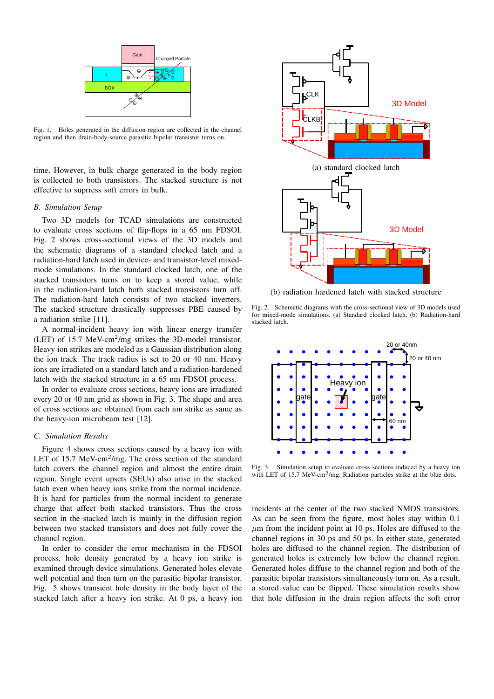

Fig. 1. Holes generated in the diffusion region are collected in the channel region and then drain-body-source parasitic bipolar transistor turns on.

time. However, in bulk charge generated in the body region is collected to both transistors. The stacked structure is not effective to suprress soft errors in bulk.

# *B. Simulation Setup*

Two 3D models for TCAD simulations are constructed to evaluate cross sections of flip-flops in a 65 nm FDSOI. Fig. 2 shows cross-sectional views of the 3D models and the schematic diagrams of a standard clocked latch and a radiation-hard latch used in device- and transistor-level mixedmode simulations. In the standard clocked latch, one of the stacked transistors turns on to keep a stored value, while in the radiation-hard latch both stacked transistors turn off. The radiation-hard latch consists of two stacked inverters. The stacked structure drastically suppresses PBE caused by a radiation strike [11].

A normal-incident heavy ion with linear energy transfer (LET) of 15.7 MeV-cm<sup>2</sup>/mg strikes the 3D-model transistor. Heavy ion strikes are modeled as a Gaussian distribution along the ion track. The track radius is set to 20 or 40 nm. Heavy ions are irradiated on a standard latch and a radiation-hardened latch with the stacked structure in a 65 nm FDSOI process.

In order to evaluate cross sections, heavy ions are irradiated every 20 or 40 nm grid as shown in Fig. 3. The shape and area of cross sections are obtained from each ion strike as same as the heavy-ion microbeam test [12].

## *C. Simulation Results*

Figure 4 shows cross sections caused by a heavy ion with LET of 15.7 MeV-cm<sup>2</sup>/mg. The cross section of the standard latch covers the channel region and almost the entire drain region. Single event upsets (SEUs) also arise in the stacked latch even when heavy ions strike from the normal incidence. It is hard for particles from the normal incident to generate charge that affect both stacked transistors. Thus the cross section in the stacked latch is mainly in the diffusion region between two stacked transistors and does not fully cover the channel region.

In order to consider the error mechanism in the FDSOI process, hole density generated by a heavy ion strike is examined through device simulations. Generated holes elevate well potential and then turn on the parasitic bipolar transistor. Fig. 5 shows transient hole density in the body layer of the stacked latch after a heavy ion strike. At 0 ps, a heavy ion



(b) radiation hardened latch with stacked structure

Fig. 2. Schematic diagrams with the cross-sectional view of 3D models used for mixed-mode simulations. (a) Standard clocked latch, (b) Radiation-hard stacked latch.



Fig. 3. Simulation setup to evaluate cross sections induced by a heavy ion with LET of 15.7 MeV-cm<sup>2</sup>/mg. Radiation particles strike at the blue dots.

incidents at the center of the two stacked NMOS transistors. As can be seen from the figure, most holes stay within 0.1  $\mu$ m from the incident point at 10 ps. Holes are diffused to the channel regions in 30 ps and 50 ps. In either state, generated holes are diffused to the channel region. The distribution of generated holes is extremely low below the channel region. Generated holes diffuse to the channel region and both of the parasitic bipolar transistors simultaneously turn on. As a result, a stored value can be flipped. These simulation results show that hole diffusion in the drain region affects the soft error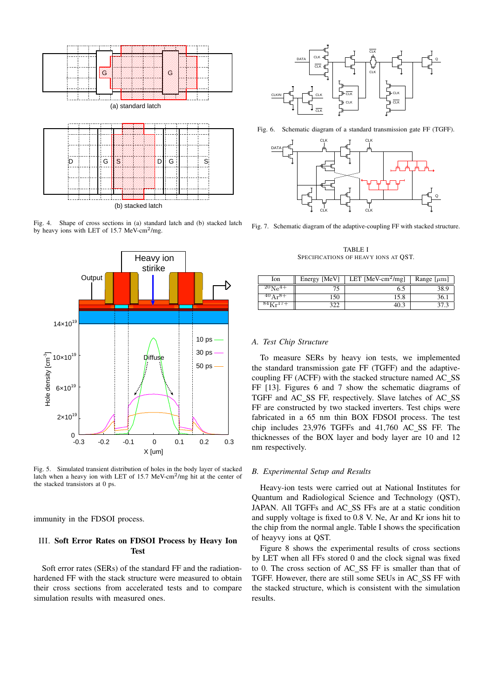

Fig. 4. Shape of cross sections in (a) standard latch and (b) stacked latch by heavy ions with LET of 15.7 MeV-cm<sup>2</sup>/mg.



Fig. 5. Simulated transient distribution of holes in the body layer of stacked latch when a heavy ion with LET of 15.7 MeV-cm<sup>2</sup>/mg hit at the center of the stacked transistors at 0 ps.

immunity in the FDSOI process.

# III. Soft Error Rates on FDSOI Process by Heavy Ion **Test**

Soft error rates (SERs) of the standard FF and the radiationhardened FF with the stack structure were measured to obtain their cross sections from accelerated tests and to compare simulation results with measured ones.



Fig. 6. Schematic diagram of a standard transmission gate FF (TGFF).



Fig. 7. Schematic diagram of the adaptive-coupling FF with stacked structure.

TABLE I SPECIFICATIONS OF HEAVY IONS AT QST.

| Ion                       | Energy [MeV] | LET [MeV-cm <sup>2</sup> /mg] | Range $[\mu m]$ |
|---------------------------|--------------|-------------------------------|-----------------|
| $^{20}Ne^{4+}$            |              | 6.5                           |                 |
| $^{40}$ A r <sup>8+</sup> | 150          | 15.8                          | 36.             |
|                           |              | 40.1                          |                 |

## *A. Test Chip Structure*

To measure SERs by heavy ion tests, we implemented the standard transmission gate FF (TGFF) and the adaptivecoupling FF (ACFF) with the stacked structure named AC SS FF [13]. Figures 6 and 7 show the schematic diagrams of TGFF and AC SS FF, respectively. Slave latches of AC SS FF are constructed by two stacked inverters. Test chips were fabricated in a 65 nm thin BOX FDSOI process. The test chip includes 23,976 TGFFs and 41,760 AC SS FF. The thicknesses of the BOX layer and body layer are 10 and 12 nm respectively.

#### *B. Experimental Setup and Results*

Heavy-ion tests were carried out at National Institutes for Quantum and Radiological Science and Technology (QST), JAPAN. All TGFFs and AC SS FFs are at a static condition and supply voltage is fixed to 0.8 V. Ne, Ar and Kr ions hit to the chip from the normal angle. Table I shows the specification of heayvy ions at QST.

Figure 8 shows the experimental results of cross sections by LET when all FFs stored 0 and the clock signal was fixed to 0. The cross section of AC SS FF is smaller than that of TGFF. However, there are still some SEUs in AC\_SS FF with the stacked structure, which is consistent with the simulation results.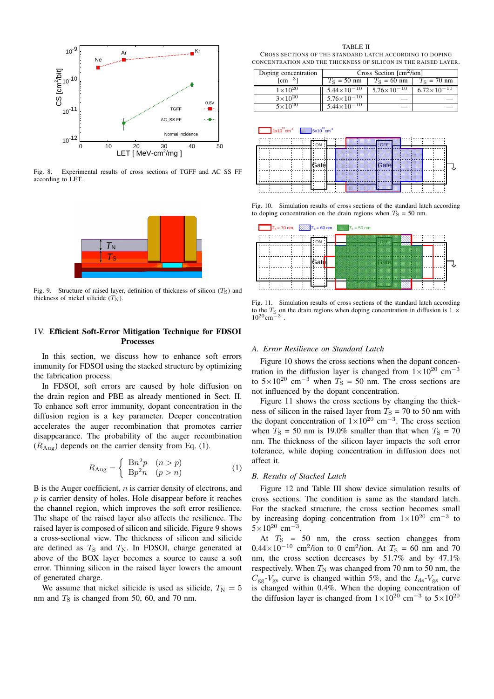

Fig. 8. Experimental results of cross sections of TGFF and AC SS FF according to LET.



Fig. 9. Structure of raised layer, definition of thickness of silicon  $(T<sub>S</sub>)$  and thickness of nickel silicide  $(T_N)$ .

# IV. Efficient Soft-Error Mitigation Technique for FDSOI Processes

In this section, we discuss how to enhance soft errors immunity for FDSOI using the stacked structure by optimizing the fabrication process.

In FDSOI, soft errors are caused by hole diffusion on the drain region and PBE as already mentioned in Sect. II. To enhance soft error immunity, dopant concentration in the diffusion region is a key parameter. Deeper concentration accelerates the auger recombination that promotes carrier disappearance. The probability of the auger recombination  $(R_{\text{Aug}})$  depends on the carrier density from Eq. (1).

$$
R_{\text{Aug}} = \begin{cases} \begin{array}{c} \mathbf{B}n^2p & (n > p) \\ \mathbf{B}p^2n & (p > n) \end{array} \end{cases} \tag{1}
$$

B is the Auger coefficient, *n* is carrier density of electrons, and *p* is carrier density of holes. Hole disappear before it reaches the channel region, which improves the soft error resilience. The shape of the raised layer also affects the resilience. The raised layer is composed of silicon and silicide. Figure 9 shows a cross-sectional view. The thickness of silicon and silicide are defined as  $T<sub>S</sub>$  and  $T<sub>N</sub>$ . In FDSOI, charge generated at above of the BOX layer becomes a source to cause a soft error. Thinning silicon in the raised layer lowers the amount of generated charge.

We assume that nickel silicide is used as silicide,  $T_N = 5$ nm and  $T<sub>S</sub>$  is changed from 50, 60, and 70 nm.

TABLE II CROSS SECTIONS OF THE STANDARD LATCH ACCORDING TO DOPING CONCENTRATION AND THE THICKNESS OF SILICON IN THE RAISED LAYER.

| Doping concentration | Cross Section $\lceil$ cm <sup>2</sup> /ion] |                        |                      |  |
|----------------------|----------------------------------------------|------------------------|----------------------|--|
| $\mathrm{cm}^{-3}$ ] | $T_{\rm S}$ = 50 nm                          | $T_S = 60$ nm          | $T_S = 70$ nm        |  |
| $1 \times 10^{20}$   | $5.44 \times 10^{-10}$                       | $5.76 \times 10^{-10}$ | $6.72\times10^{-10}$ |  |
| $3\times10^{20}$     | $5.76 \times 10^{-10}$                       |                        |                      |  |
| $5 \times 10^{20}$   | $5.44 \times 10^{-10}$                       |                        |                      |  |



Fig. 10. Simulation results of cross sections of the standard latch according to doping concentration on the drain regions when  $T<sub>S</sub> = 50$  nm.



Fig. 11. Simulation results of cross sections of the standard latch according to the  $T_S$  on the drain regions when doping concentration in diffusion is 1  $\times$ 1020cm*−*<sup>3</sup> .

## *A. Error Resilience on Standard Latch*

Figure 10 shows the cross sections when the dopant concentration in the diffusion layer is changed from 1*×*10<sup>20</sup> cm*−*<sup>3</sup> to  $5 \times 10^{20}$  cm<sup>−3</sup> when  $T_S = 50$  nm. The cross sections are not influenced by the dopant concentration.

Figure 11 shows the cross sections by changing the thickness of silicon in the raised layer from  $T<sub>S</sub> = 70$  to 50 nm with the dopant concentration of 1*×*10<sup>20</sup> cm*−*<sup>3</sup> . The cross section when  $T_S = 50$  nm is 19.0% smaller than that when  $T_S = 70$ nm. The thickness of the silicon layer impacts the soft error tolerance, while doping concentration in diffusion does not affect it.

# *B. Results of Stacked Latch*

Figure 12 and Table III show device simulation results of cross sections. The condition is same as the standard latch. For the stacked structure, the cross section becomes small by increasing doping concentration from  $1 \times 10^{20}$  cm<sup>-3</sup> to <sup>5</sup>*×*10<sup>20</sup> cm*−*<sup>3</sup> .

At  $T_S$  = 50 nm, the cross section changges from  $0.44 \times 10^{-10}$  cm<sup>2</sup>/ion to 0 cm<sup>2</sup>/ion. At  $T_s = 60$  nm and 70 nm, the cross section decreases by 51.7% and by 47.1% respectively. When  $T_N$  was changed from 70 nm to 50 nm, the  $C_{gg}$ - $V_{gs}$  curve is changed within 5%, and the  $I_{ds}$ - $V_{gs}$  curve is changed within 0.4%. When the doping concentration of the diffusion layer is changed from  $1 \times 10^{20}$  cm<sup>-3</sup> to  $5 \times 10^{20}$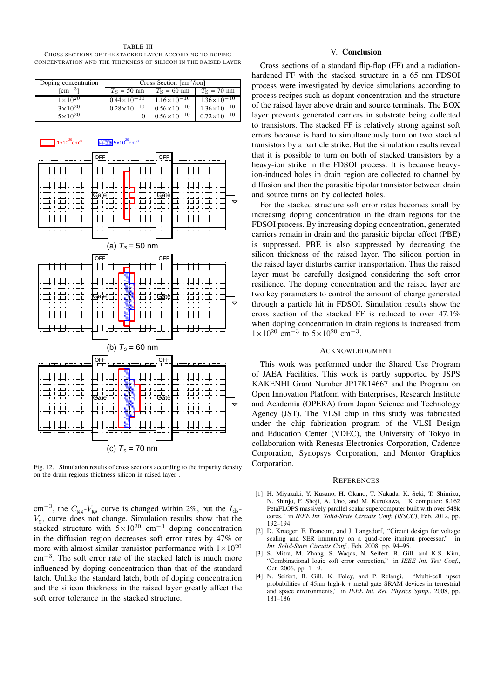TABLE III CROSS SECTIONS OF THE STACKED LATCH ACCORDING TO DOPING CONCENTRATION AND THE THICKNESS OF SILICON IN THE RAISED LAYER

| Doping concentration | Cross Section $[cm^2/ion]$ |                        |                        |  |
|----------------------|----------------------------|------------------------|------------------------|--|
| $\mathrm{cm}^{-3}$   | $T_{\rm S}$ = 50 nm        | $T_S = 60$ nm          | $T_s = 70$ nm          |  |
| $1 \times 10^{20}$   | $0.44\times10^{-10}$       | $1.16\times10^{-10}$   | $1.36 \times 10^{-10}$ |  |
| $3 \times 10^{20}$   | $0.28\times10^{-10}$       | $0.56 \times 10^{-10}$ | $1.36 \times 10^{-10}$ |  |
| $5 \times 10^{20}$   |                            | $0.56\times10^{-10}$   | $0.72\times10^{-10}$   |  |



Fig. 12. Simulation results of cross sections according to the impurity density on the drain regions thickness silicon in raised layer .

cm<sup>−3</sup>, the  $C_{gg}$ - $V_{gs}$  curve is changed within 2%, but the *I*<sub>ds</sub>-*V*gs curve does not change. Simulation results show that the stacked structure with 5*×*10<sup>20</sup> cm*−*<sup>3</sup> doping concentration in the diffusion region decreases soft error rates by 47% or more with almost similar transistor performance with  $1 \times 10^{20}$ cm*−*<sup>3</sup> . The soft error rate of the stacked latch is much more influenced by doping concentration than that of the standard latch. Unlike the standard latch, both of doping concentration and the silicon thickness in the raised layer greatly affect the soft error tolerance in the stacked structure.

# V. Conclusion

Cross sections of a standard flip-flop (FF) and a radiationhardened FF with the stacked structure in a 65 nm FDSOI process were investigated by device simulations according to process recipes such as dopant concentration and the structure of the raised layer above drain and source terminals. The BOX layer prevents generated carriers in substrate being collected to transistors. The stacked FF is relatively strong against soft errors because is hard to simultaneously turn on two stacked transistors by a particle strike. But the simulation results reveal that it is possible to turn on both of stacked transistors by a heavy-ion strike in the FDSOI process. It is because heavyion-induced holes in drain region are collected to channel by diffusion and then the parasitic bipolar transistor between drain and source turns on by collected holes.

For the stacked structure soft error rates becomes small by increasing doping concentration in the drain regions for the FDSOI process. By increasing doping concentration, generated carriers remain in drain and the parasitic bipolar effect (PBE) is suppressed. PBE is also suppressed by decreasing the silicon thickness of the raised layer. The silicon portion in the raised layer disturbs carrier transportation. Thus the raised layer must be carefully designed considering the soft error resilience. The doping concentration and the raised layer are two key parameters to control the amount of charge generated through a particle hit in FDSOI. Simulation results show the cross section of the stacked FF is reduced to over 47.1% when doping concentration in drain regions is increased from <sup>1</sup>*×*10<sup>20</sup> cm*−*<sup>3</sup> to 5*×*10<sup>20</sup> cm*−*<sup>3</sup> .

# ACKNOWLEDGMENT

This work was performed under the Shared Use Program of JAEA Facilities. This work is partly supported by JSPS KAKENHI Grant Number JP17K14667 and the Program on Open Innovation Platform with Enterprises, Research Institute and Academia (OPERA) from Japan Science and Technology Agency (JST). The VLSI chip in this study was fabricated under the chip fabrication program of the VLSI Design and Education Center (VDEC), the University of Tokyo in collaboration with Renesas Electronics Corporation, Cadence Corporation, Synopsys Corporation, and Mentor Graphics Corporation.

# **REFERENCES**

- [1] H. Miyazaki, Y. Kusano, H. Okano, T. Nakada, K. Seki, T. Shimizu, N. Shinjo, F. Shoji, A. Uno, and M. Kurokawa, "K computer: 8.162 PetaFLOPS massively parallel scalar supercomputer built with over 548k cores," in *IEEE Int. Solid-State Circuits Conf. (ISSCC)*, Feb. 2012, pp. 192–194.
- [2] D. Krueger, E. Francom, and J. Langsdorf, "Circuit design for voltage scaling and SER immunity on a quad-core itanium processor," in *Int. Solid-State Circuits Conf.*, Feb. 2008, pp. 94–95.
- [3] S. Mitra, M. Zhang, S. Waqas, N. Seifert, B. Gill, and K.S. Kim, "Combinational logic soft error correction," in *IEEE Int. Test Conf.*, Oct. 2006, pp.  $1 - 9$ .
- [4] N. Seifert, B. Gill, K. Foley, and P. Relangi, "Multi-cell upset probabilities of 45nm high-k + metal gate SRAM devices in terrestrial and space environments," in *IEEE Int. Rel. Physics Symp.*, 2008, pp. 181–186.